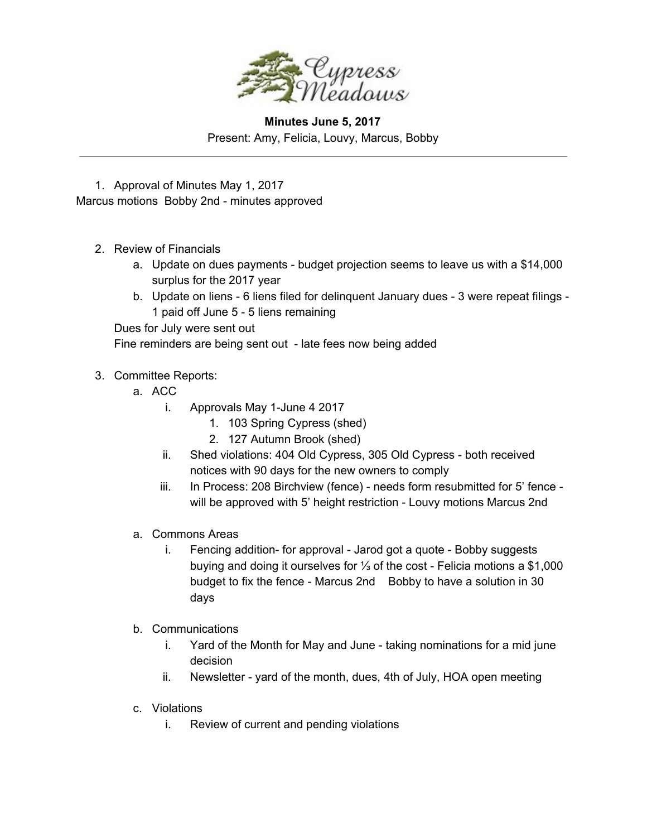

## **Minutes June 5, 2017** Present: Amy, Felicia, Louvy, Marcus, Bobby

1. Approval of Minutes May 1, 2017 Marcus motions Bobby 2nd - minutes approved

- 2. Review of Financials
	- a. Update on dues payments budget projection seems to leave us with a \$14,000 surplus for the 2017 year
	- b. Update on liens 6 liens filed for delinquent January dues 3 were repeat filings 1 paid off June 5 - 5 liens remaining

Dues for July were sent out Fine reminders are being sent out - late fees now being added

## 3. Committee Reports:

- a. ACC
	- i. Approvals May 1-June 4 2017
		- 1. 103 Spring Cypress (shed)
		- 2. 127 Autumn Brook (shed)
	- ii. Shed violations: 404 Old Cypress, 305 Old Cypress both received notices with 90 days for the new owners to comply
	- iii. In Process: 208 Birchview (fence) needs form resubmitted for 5' fence will be approved with 5' height restriction - Louvy motions Marcus 2nd
- a. Commons Areas
	- i. Fencing addition- for approval Jarod got a quote Bobby suggests buying and doing it ourselves for ⅓ of the cost - Felicia motions a \$1,000 budget to fix the fence - Marcus 2nd Bobby to have a solution in 30 days
- b. Communications
	- i. Yard of the Month for May and June taking nominations for a mid june decision
	- ii. Newsletter yard of the month, dues, 4th of July, HOA open meeting
- c. Violations
	- i. Review of current and pending violations